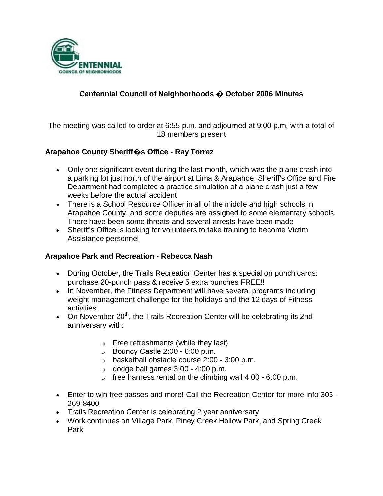

## **Centennial Council of Neighborhoods � October 2006 Minutes**

The meeting was called to order at 6:55 p.m. and adjourned at 9:00 p.m. with a total of 18 members present

### **Arapahoe County Sheriff�s Office - Ray Torrez**

- Only one significant event during the last month, which was the plane crash into a parking lot just north of the airport at Lima & Arapahoe. Sheriff's Office and Fire Department had completed a practice simulation of a plane crash just a few weeks before the actual accident
- There is a School Resource Officer in all of the middle and high schools in Arapahoe County, and some deputies are assigned to some elementary schools. There have been some threats and several arrests have been made
- Sheriff's Office is looking for volunteers to take training to become Victim Assistance personnel

#### **Arapahoe Park and Recreation - Rebecca Nash**

- During October, the Trails Recreation Center has a special on punch cards: purchase 20-punch pass & receive 5 extra punches FREE!!
- In November, the Fitness Department will have several programs including weight management challenge for the holidays and the 12 days of Fitness activities.
- On November 20<sup>th</sup>, the Trails Recreation Center will be celebrating its 2nd anniversary with:
	- o Free refreshments (while they last)
	- $\circ$  Bouncy Castle 2:00 6:00 p.m.
	- o basketball obstacle course 2:00 3:00 p.m.
	- $\circ$  dodge ball games 3:00 4:00 p.m.
	- $\circ$  free harness rental on the climbing wall 4:00 6:00 p.m.
- Enter to win free passes and more! Call the Recreation Center for more info 303- 269-8400
- Trails Recreation Center is celebrating 2 year anniversary
- Work continues on Village Park, Piney Creek Hollow Park, and Spring Creek Park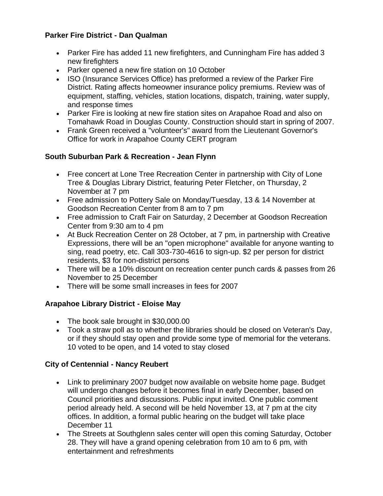## **Parker Fire District - Dan Qualman**

- Parker Fire has added 11 new firefighters, and Cunningham Fire has added 3 new firefighters
- Parker opened a new fire station on 10 October
- ISO (Insurance Services Office) has preformed a review of the Parker Fire District. Rating affects homeowner insurance policy premiums. Review was of equipment, staffing, vehicles, station locations, dispatch, training, water supply, and response times
- Parker Fire is looking at new fire station sites on Arapahoe Road and also on Tomahawk Road in Douglas County. Construction should start in spring of 2007.
- Frank Green received a "volunteer's" award from the Lieutenant Governor's Office for work in Arapahoe County CERT program

## **South Suburban Park & Recreation - Jean Flynn**

- Free concert at Lone Tree Recreation Center in partnership with City of Lone Tree & Douglas Library District, featuring Peter Fletcher, on Thursday, 2 November at 7 pm
- Free admission to Pottery Sale on Monday/Tuesday, 13 & 14 November at Goodson Recreation Center from 8 am to 7 pm
- Free admission to Craft Fair on Saturday, 2 December at Goodson Recreation Center from 9:30 am to 4 pm
- At Buck Recreation Center on 28 October, at 7 pm, in partnership with Creative Expressions, there will be an "open microphone" available for anyone wanting to sing, read poetry, etc. Call 303-730-4616 to sign-up. \$2 per person for district residents, \$3 for non-district persons
- There will be a 10% discount on recreation center punch cards & passes from 26 November to 25 December
- There will be some small increases in fees for 2007

# **Arapahoe Library District - Eloise May**

- The book sale brought in \$30,000.00
- Took a straw poll as to whether the libraries should be closed on Veteran's Day, or if they should stay open and provide some type of memorial for the veterans. 10 voted to be open, and 14 voted to stay closed

# **City of Centennial - Nancy Reubert**

- Link to preliminary 2007 budget now available on website home page. Budget will undergo changes before it becomes final in early December, based on Council priorities and discussions. Public input invited. One public comment period already held. A second will be held November 13, at 7 pm at the city offices. In addition, a formal public hearing on the budget will take place December 11
- The Streets at Southglenn sales center will open this coming Saturday, October 28. They will have a grand opening celebration from 10 am to 6 pm, with entertainment and refreshments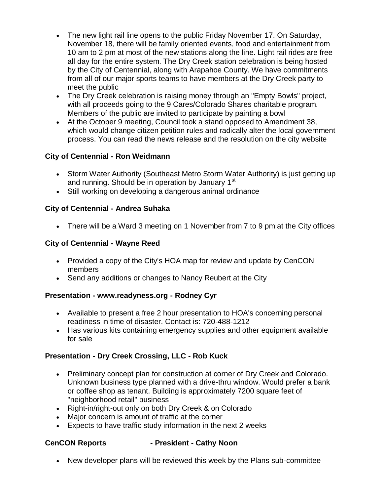- The new light rail line opens to the public Friday November 17. On Saturday, November 18, there will be family oriented events, food and entertainment from 10 am to 2 pm at most of the new stations along the line. Light rail rides are free all day for the entire system. The Dry Creek station celebration is being hosted by the City of Centennial, along with Arapahoe County. We have commitments from all of our major sports teams to have members at the Dry Creek party to meet the public
- The Dry Creek celebration is raising money through an "Empty Bowls" project, with all proceeds going to the 9 Cares/Colorado Shares charitable program. Members of the public are invited to participate by painting a bowl
- At the October 9 meeting, Council took a stand opposed to Amendment 38, which would change citizen petition rules and radically alter the local government process. You can read the news release and the resolution on the city website

## **City of Centennial - Ron Weidmann**

- Storm Water Authority (Southeast Metro Storm Water Authority) is just getting up and running. Should be in operation by January 1<sup>st</sup>
- Still working on developing a dangerous animal ordinance

## **City of Centennial - Andrea Suhaka**

There will be a Ward 3 meeting on 1 November from 7 to 9 pm at the City offices

## **City of Centennial - Wayne Reed**

- Provided a copy of the City's HOA map for review and update by CenCON members
- Send any additions or changes to Nancy Reubert at the City

### **Presentation - www.readyness.org - Rodney Cyr**

- Available to present a free 2 hour presentation to HOA's concerning personal readiness in time of disaster. Contact is: 720-488-1212
- Has various kits containing emergency supplies and other equipment available for sale

# **Presentation - Dry Creek Crossing, LLC - Rob Kuck**

- Preliminary concept plan for construction at corner of Dry Creek and Colorado. Unknown business type planned with a drive-thru window. Would prefer a bank or coffee shop as tenant. Building is approximately 7200 square feet of "neighborhood retail" business
- Right-in/right-out only on both Dry Creek & on Colorado
- Major concern is amount of traffic at the corner
- Expects to have traffic study information in the next 2 weeks

#### **CenCON Reports - President - Cathy Noon**

New developer plans will be reviewed this week by the Plans sub-committee